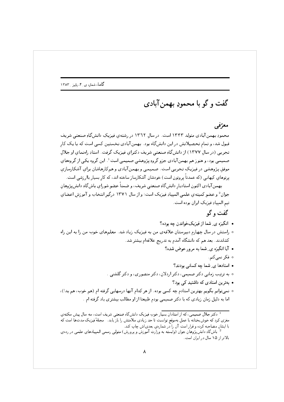## گفت و گو با محمودِ بهمن آبادی

## معرّفی

محمودِ بهمن آبادی متولد ۱۳۴۳ است. در سال ۱۳۶۲ در رشتهی فیزیکِ دانشگاهِ صنعتی شریف قبول شد، و تمام تحصیلاتش در این دانشگاه بود. بهمنآبادی نخستین کسی است که با یک کار تجربی (در سال ۱۳۷۷) از دانش گاهِ صنعتی شریف دکترای فیزیک گرفت. استادِ راهنمای او جلال صمیمی بود، و هنوز هم بهمن آبادی جزو گروهِ پژوهشی صمیمی است<sup>1</sup>. این گروه یکی از گروههای موفق پژوهشی در فیزیکِ تجربی است. صمیمی و بهمنآبادی و همکارهاشان برای آشکارسازی یرتوهای کیهانی (که عمدتاً پروتون است) خودشان آشکارساز ساخته اند، که کار بسیار باارزشی است.

بهمن آبادی اکنون استادیار دانشگاهِ صنعتبی شریف، و ضمناً عضو شورای باشگاهِ دانش پژوهان جوان <sup>2</sup> و عضو كميته ي علمي المييادِ فيزيک است؛ و از سال ١٣٧١ درگير انتخاب و آموزش اعضاي تيم المپيادِ فيزيکِ ايران بوده است.

## گفت و گو

- انگیزه ی شما از فیزیکخواندن چه بوده؟
- ۰ راستش در سال چهارم دبیرستان علاقهی من به فیزیک زیاد شد. معلمهای خوب من را به این راه کشاندند. بعد هم که دانشگاه آمدم به تدریج علاقهام بیشتر شد.
	- آیا انگیزه ی ِ شما به مرور عوض شده؟
		- ە فكر نمى2نم.
	- استادها ی ِ شما چه کسانی بودند؟
	- ۰ به ترتیب زمانی دکتر صمیمی، دکتر اردلان، دکتر منصوری، و دکتر گلشنی .
		- بهترین استادی که داشتید کے رود؟
- نمیتوانم بگویم بهترین استادم چه کسی بوده. از هر کدام آنها درسهایی گرفته ام (هم خوب، هم بد!)، اما به دلیل زمان زیادی که با دکتر صمیمی بودم طبیعتا از او مطالب بیشتری یاد گرفته ام .

<sup>.&</sup>lt;br>· دکتر جلال صمیمی، که از استادان بسیار خوبِ فیزیکِ دانشگاهِ صنعتی شریف است، سه سال پیش سکته *ي* مغزی کرد که خوش بختانه با عمل بهموقع توانست تا حدِ زیادی سلامتش را باز یابد. ۲مجلهٔ فیزیک مدتها است که با ایشان مصاحبه کرده و قرار است آن را در شمارهی بعدیاش چاپ کند.

باشگاهِ دانشپژوهانِ جوان (وابسته به وزارتِ آموزش وپرورش) متولی رسمی المپیادهایِ علمی در رده یِ بالاتر از ۱۵ سال در ایران است.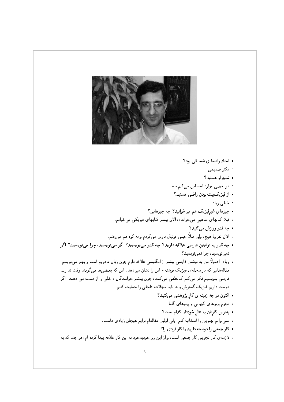

- $\Omega$  استادِ راهنما ی شما کے بود
	- ∘ دکتر صمیمی.
	- شبيه او هستيد؟
- ه در بعضی موارد احساس میکنم بله.
	- از فیزیک پیشهبودن راضبی هستید؟
		- ە خىلى زياد.
- چیزهای غیرفیزیک هم می خوانید؟ چه چیزهایی؟
- قبلا کتابهای مذهبی میخواندم، الان بیشتر کتابهای فیزیکی میخوانم.
	- چه قدر ورزش مبيكنيد؟
- الان تقریبا هیچ، ولی قبلاً خیلی فوتبال بازی میکردم و به کوه هم میرفتم.
- چه قدر به نوشتن فارسی علاقه دارید؟ چه قدر مینویسید؟ اگر مینویسید، چرا مینویسید؟ اگر نمي نويسيد، چرا نمي نويسيد؟
- ۰ زیاد . اصولاً من به نوشتن فارسی بیشتر از انگلیسی علاقه دارم چون زبان مادریم است و بهتر میٖنویسم . مقالههایی که در مجلهی فیزیک نوشتهام این را نشان میدهد. این که بعضیها میگویند وقت نداریم فارسی بنویسیم فکر می کنم کملطفی می کنند، چون بیشتر خوانندگان داخلی را از دست می دهند. اگر دوست داریم فیزیک گسترش پابد باید مجلات داخلی را حمایت کنیم.
	- اکنون در چه زمینهای کار پژوهشی میکنید؟
		- ه نجوم پرتوهای کیهانی و پرتوهای گاما.
		- بهترین کارتان به نظر خودِتان کدام است؟
	- ۰ نمیتوانم بهترین را انتخاب کنم، ولی اولین مقالهام برایم هیجان زیادی داشت.
		- كار جمعى را دوست داريد يا كار فردي را؟
- ۰ لازمه ی کار تجربی کار جمعی است، و از این رو خودبهخود به این کار علاقه پیدا کرده ام، هر چند که به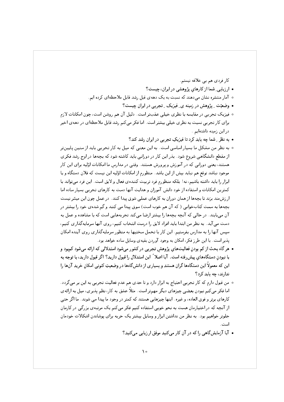کار فردی هم بی علاقه نیستم. • ارزیابی ِ شما از کارهای پژوهشی در ایران، چیست؟ ه آمار منتشره نشان می دهند که نسبت به یک دههی قبل رشد قابل ملاحظهای کرده ایم. • وضعیّت په وهش در زمینه ی فیزیک په تجربی در ایران چیست؟ ۰ فیزیک تجربی در مقایسه با نظری خیلی عقبتر است. دلیل آن هم روشن است، چون امکانات لازم

- برای کار تجربی نسبت به نظری خیلی بیشتر است. اما فکر میکنم رشد قابل ملاحظهای در دههی اخیر در این زمینه داشتهایی
	- به نظر رشما چه باید کرد تا فیزیکِ تجربه را ایران رشد کند؟
- ۰ به نظر من مشکل ما بسیار اساسی است. به این معنی که میل به کار تجربی باید از سنین پایینتر از مقطع دانشگاهی شروع شود . بذر این کار در دورانی باید کاشته شود که بچهها در اوج رشد فکری هستند، یعنی دورانی که در آموزش و پرورش هستند. وقتی در مدارس ما امکانات اوّلیه برای این کار موجود نباشد توقع هم نباید بیش از این باشد. منظورم از امکانات اوّلیه این نیست که فلان دستگاه و یا ابزار را باید داشته باشیم، نه! بلکه منظورم فرد تربیت کنندهی فعال و لایق است. این فرد می تواند با كمترين امكانات و استفاده از خود دانش آموزان و هدايت آنها دست به كارهاى تجربى بسيار ساده اما ار زشمند بزند تا بچهها از همان دوران به کارهای عملی شوق پیدا کنند. در عمل چون این میسّر نیست بچهها به سمت کتابخوانی ( که آن هم خوب است) سوق پیدا می کنند و گم شدهی خود را بیشتر در آن مییابند. در حالبی که آنچه بچهها را بیشتر ارضا میکند تجربههایی است که با مشاهده و عمل به دست می آید. به نظر من ابتدا باید افراد لایق را درست انتخاب کنیم، روی آنها سرمایه گذاری کنیم، سپس آنها را به مدارس بفرستیم. این کار با تحمل سختیها به منظور سرمایهگذاری روی آینده امکان یذیر است. با این طرز فکر، امکان به وجود آوردن بقیهی وسایل ساده خواهد بود.
- هر گاه بحث از کم بودن فعالیتهای پژوهش تجربی در کشور میشود استدلالی که ارائه میشود کمبود و یا نبودن دستگاههای پیش رفته است. آیا اصلا ً این استدلال را قبول دارید؟ اگر قبول دارید، با توجه به این که معمولاً این دستگاهها گران هستند و بسیاری از دانشگاهها در وضعیتِ کنونی امکان خرید آنها را ندارند، چه باید کرد؟
- من قبول دارم كه كار تجربي احتياج به ابزار دارد و تا حدى هم عدم فعاليت تجربي به اين بر مي گردد. اما فکر میکنم نبودن بعضی چیزهای دیگر مهمتر است. مثلاً عشق به کار، نظم پذیری، میل به ارائهی کارهای برتر و فوق العاده، و غیره. اینها چیزهایی هستند که کمتر در وجود ما پیدا می شوند. ما اگر حتی از آنچه که در اختیارمان هست به نحو خوبی استفاده کنیم فکر می کنم یک مرتبهی بزرگی در کارمان جلوتر خواهیم بود. به نظر من نداشتن ابزار و وسایل بیشتر یک حربه برای یوشاندن اشکالات خودمان است.
	- آیا آزمایش گاهی را که در آن کار می کنید موفق ارزیابی می کنید؟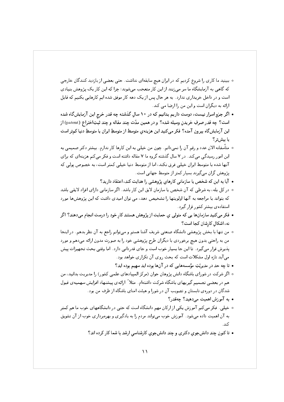- ه ببینید ما کاری را شروع کردیم که در ایران هیچ سابقهای نداشت. حتی بعضی از بازدید کنندگان خارجی که گاهی به آزمایشگاه ما سر می زنند از این کار متعجب میشوند؛ چرا که این کار یک پژوهش بنیادی است و در داخل خریداری ندارد . به هر حال پس از یک دهه کار موفق شده ایم کارهایی بکنیم که قابل ارائه به دیگران است و این من را ارضا می کند.
- اگر جزو اسرار نیست، دوست داریم بدانیم که در ۱۰ سالِ گذشته چه قدر خرج این آزمایشگاه شده است؟ چه قدر صرفِ خريدنِ وسيله شده؟ و در همين مدّت چند مقاله و چند ثبتِاختراع (patent) از این آزمایشگاه بیرون آمده؟ فکر میکنید این هزینهی متوسط از متوسطِ ایران یا متوسطِ دنیا کمتر است يا سش تر ؟
- متأسفانه الان عدد و رقم آن را نميدانم. چون من خيلي به اين كارها كار ندارم. بيشتر دكتر صميمي به این امور رسیدگی میکند. در ۷ سال گذشته گروه ما ۷ مقاله داشته است و فکر میکنم هزینهای که برای آنها شده با متوسط ایران خیلی فرق نکند، اما از متوسط دنیا خیلی کمتر است، به خصوص پولی که یژوهش گران مے گیرند بسیار کمتر از متوسط جهانے است.
	- آیا به این که شخص یا سازمانی کارهای پژوهشی را هدایت کند، اعتقاد دارید؟
- در کل بله، به شرطی که آن شخص یا سازمان لایق این کار باشد. اگر سازمانی دارای افراد لایقی باشد که بتواند با مراجعه به آنها اولویتها را تشخیص دهد، می توان امیدی داشت که این پژوهشها مورد استفاده ی بیشتر کشور قرار گیرد.
- فکر میکنید سازمانها یی که متولی ی حمایت از پژوهش هستند کار خود را درست انجام میدهند؟ اگر نه، اشكال كارشان كجا است؟
- ۰ من تنها با بخش پژوهشی دانشگاه صنعتی شریف آشنا هستم و میتوانم راجع به آن نظر بدهم. در اینجا من به راحتی بدون هیچ برخوردی با دیگران طرح پژوهشی خود را به صورت مدون ارائه میدهم و مورد یذیرش قرار میگیرد. تا این جا بسیار خوب است و جای قدردانی دارد. اما وقتی بحث تجهیزات پیش می آید تازه اول مشکلات است که بحث روی آن تکراری خواهد بود.
	- تا چه حد در مدیریّتِ مؤسسههایی که در آنها بوده اید سهیم بوده اید؟
- ه اگر شرکت در شورای باشگاه دانش پژوهان جوان (مرکز المپیادهای علمی کشور) را مدیریت بدانید، من هم در بعضبی تصمیم گیریهای باشگاه شرکت داشتهام. مثلا ً ارائهی پیشنهاد افزایش سهمیهی قبول شدگان در دورهی تابستان و تصویب آن در شورا و هیئت امنای باشگاه از طرف من بود.
	- $\Omega$  به آموزش اهمیت می دهید؟ چهقدر
- خیلبی. فکر میکنم آموزش یکی از ارکان مهم دانشگاه است که حتبی در دانشگاههای خوب ما هم کمتر به آن اهمیت داده میشود . آموزش خوب میتواند مردم را به یادگیری و بهرهبرداری خوب از آن تشویق کند.
	- تا کنون چند دانشجوی دکتری و چند دانشجوی کارشناسی ارشد با شما کار کرده اند؟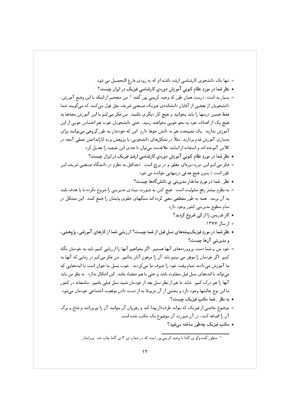- ه تنها یک دانشجوی کارشناسی ارشد داشته ام که به زودی فارغ التحصیل می شود.
- نظر شما در موردِ نظام کنونبی آموزش دورهیِ کارشناسی فیزیک در ایران چیست؟
- ه بسیار بد است، درست همان طور که وحید کریمی پور گفته.<sup>3</sup> من متعجبم از اینکه با این وضع آموزش، دانشجویان از بعضی از آقایان دانشکدهی فیزیک صنعتی شریف نقل قول میکنند که میگویند شما فقط همین درسها را باید بخوانید و هیچ کار دیگری نکنید. من فکر می کنم با این آموزش بچهها به هیچ یک از اهداف خود به نحو خوبی نخواهند رسید. حتی دانشجویان خوب هم احساس خوبی از این آموزش ندارند. یک نصیحت هم به دانش جوها دارم: این که خودشان به طور گروهی میتوانند برای بهسازی آموزش قدم بردارند؛ مثلاً در تشکلهای دانشجویی، با پژوهش و به کارانداختن عملی آنچه در كلاس آموخته اند و استفاده از اساتيد علاقهمند مىتوان تا حدى اين نقيصه را تعديل كرد.
	- نظر شما در موردِ نظام کنونی آموزش دورهیِ کارشناسی ارشدِ فیزیک در ایران چیست؟
- فكر مى كنم اين دوره دورهاى معلق و در برزخ است. (حداقل به نظرم در دانشگاه صنعتى شريف اين طور است.) بدون هیچ هدفی درسهایی خوانده می شود.
	- نظر ِ شما در موردِ ساختار مدیریتی ی دانشگاهها چیست؟
- ۰ به نظرم بیشتر رفع مشولیت است. هیچ کس به صورت بنیادی مدیریتی را شروع نکرده تا با هدف بلند به آن برسد. همه به طور مقطعی سعی کرده اند سنگهای جلوی پایشان را جمع کنند. این مشکل در تمام سطوح مدیریتی کشور وجود دارد.
	- کارتدریس را از کِی شروع کردید؟
		- ه از سال ۱۳۷۷.
- نظر شما در موردِ فیزیکپیشههایِ نسل قبل از شما چیست؟ ارزیابی شما از کارهایِ آموزشی، پژوهشی، و مديريتي آنها چيست؟
- خود من و شما دست پرووردههای آنها هستیم. اگر بخواهیم آنها را ارزیابی کنیم باید به خودمان نگاه کنیم. اگر خودمان را موفق می بینیم باید آن را مرهون آنان بدانیم. من فکر میکنم در زمانی که آنها به ما آموزش میدادند تمام وقت خود را صرف ما می کردند. خوب نسل ما جوان است با ایدههایی که میتواند با ایدههای نسل قبل متفاوت باشد و حتی با هم متضاد باشد. این اشکال ندارد. به نظر من باید آنها را هم درک کنیم. شاید ما هم از نظر نسل بعد از خودمان شبیه نسل قبلی باشیم. متاسفانه در کشور ما این نوع چالشها وجود دارد و بخشی از آن مربوط به از دست دادن موقعیت اجتماعی خودمان میشود. • به نظر ِ شما مکتب فیزیک چیست؟
- موضوع خاصی از فیزیک که بتواند طرفدار پیدا کند و رهروان آن بتوانند آن را بپرورانند و شاخ و برگ آن را اضافه کنند، در آن صورت آن موضوع یک مکتب شده است.
	- مکتب فیزیک چهطور ساخته می شود؟

<sup>&</sup>lt;sup>3</sup> منظور گفتوگو ی گاما با وحیدِ کریمیپور است که در شماره یِ ۳ یِ گاما چاپ شد. ویراستار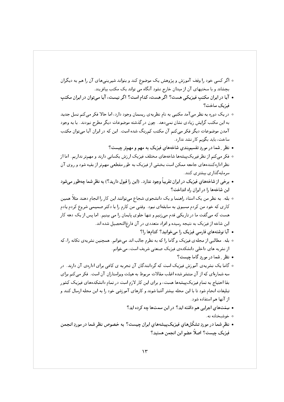- ه اگر کسی خود را وقف آموزش و پژوهش یک موضوع کند و بتواند شیرینیهای آن را هم به دیگران بچشاند و با سختیهای آن از میدان خارج نشود آنگاه می تواند یک مکتب بیافریند.
- آیا در ایران مکتب فیزیکی هست؟ اگر هست، کدام است؟ اگر نیست، آیا می توان در ایران مکتب فيزيک ساخت؟
- ۰ در یک دوره به نظر می آمد مکتبی به نام نظریهی ریسمان وجود دارد، اما حالا فکر می کنم نسل جدید به این مکتب گرایش زیادی نشان نمیدهد. چون در گذشته موضوعات دیگر مطرح نبودند. با به وجود آمدن موضوعات دیگر فکر می کنم آن مکتب کمرنگ شده است. این که در ایران آیا می توان مکتب ساخت، باید بگویم کار نشد ندارد.
	- نظر ِ شما در موردِ تقسیم بندی شاخههای فیزیک به مهم و مهمتر چیست؟
- فكر مى كنم از نظر فيريكييشهها شاخههاى مختلف فيزيك ارزش يكسانى دارند و مهمتر نداريم. اما از نظر ادارهکنندههای جامعه ممکن است بخشی از فیزیک به طور مقطعی مهمتر از بقیه شود و روی آن سرمايه گذاري پېشتري کنند.
- برخی از شاخههای فیزیک در ایران تقریباً وجود ندارد. (این را قبول دارید؟) به نظر شما چهطور میشود این شاخهها را در ایران راه انداخت؟
- ۰ بله. به نظر من یک استاد راهنما و یک دانشجوی شجاع میتوانند این کار را انجام دهند مثلاً همین کاری که خود من کردم مسبوق به سابقهای نبود. وقتی من کارم را با دکتر صمیمی شروع کردم یادم هست که میگفت ما در تاریکی قدم میزنیم و تنها جلوی پایمان را می بینیم. اما پس از یک دهه کار این شاخه از فیزیک به نتیجه رسیده و افراد متعددی در آن فارغ|لتحصیل شده اند.
	- آیا نوشتههای فارسی فیزیک را می خوانید؟ کدامها را؟
- ٥ بله. مطالبي از مجلهي فيزيک و گاما را که به نظرم جالب اند مي خوانم. همچنين نشريهي تکانه را، که از نشریه های داخلی دانشکدهی فیزیک صنعتی شریف است، می خوانم.
	- نظر ِ شما در موردِ گاما چیست؟
- ه گاما یک نشریهی آموزش فیزیک است که گردانندگان آن تجربه ی کافی برای ادارهی آن دارند. در سه شمارهای که از آن منتشر شده اغلب مقالات مربوط به هیئت ویراستاران آن است. فکر میکنم برای بقا احتیاج به تمام فیزیک پیشهها هست، و برای این کار لازم است در تمام دانشکدههای فیزیک کشور تبلیغات انجام شود تا با این مجله بیشتر آشنا شوند و کارهای آموزشی خود را به این مجله ارسال کنند و از آنها هم استفاده شود.
	- سِمَتهای اجرایی هم داشته اید؟ در این سمتها چه کرده اید؟
		- ە خوشىختانە نە.
- نظر شما در موردِ تشكّلهاي فيزيكپيشههاي ايران چيست؟ به خصوص نظر شما در موردِ انجمن فيزيک چيست؟ اصلاً عضو اين انجمن هستيد؟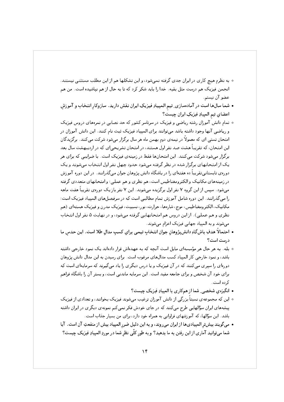- ٥ به نظرم هیچ کاری در ایران جدی گرفته نمی شود، و این تشکلها هم از این مطلب مستثنی نیستند. انجمن فیزیک هم درست مثل بقیه . خدا را باید شکر کرد که تا به حال از هم نیاشیده است . من هم عضو آن نيستم.
- شما سالها است در آمادهسازی ِ تیم المبیبادِ فیزیکِ ایران نقش دارید. سازوکار انتخاب و آموزش اعضای تیم المپیادِ فیزیکِ ایران چیست؟
- ۰ تمام دانش آموزان رشته ریاضی و فیزیک در سرتاسر کشور که حد نصابی در نمرههای دروس فیزیک و ریاضی آنها وجود داشته باشد می توانند برای المپیاد فیزیک ثبت نام کنند. این دانش آموزان در امتحان تستبی ای که معمولاً در نیمه ی دوم بهمن ماه هر سال برگزار می شود شرکت می کنند. برگزیدگان این امتحان، که تقریباً هشت صد نفر اول هستند، در امتحان تشریحی ای که در اردیبهشت سال بعد برگزار میشود شرکت میکنند. این امتحانها فقط در زمینهی فیزیک است. با ضرایبی که برای هر یک از امتحانهای برگزار شده در نظر گرفته می شود حدود چهل نفر اول انتخاب می شوند و یک دورهی تابستانی تقریباً ده هفتهای را در باشگاه دانش پژوهان جوان می گذرانند. در این دوره آموزش در زمینههای مکانیک و الکترومغناطیس است، هم نظری و هم عملی؛ و امتحانهای متعددی گرفته میشود. سیس از این گروه ۷ نفر اول برگزیده میشوند. این ۷ نفر باز یک دورهی تقریباً هفت ماهه را می گذرانند. این دوره شامل آموزش تمام مطالبی است که در سرفصلهای المپیاد فیزیک است: مکانیک، الکترومغناطیس، موج، شارهها، حرارت، نور، نسبیت، فیزیک مدرن و فیزیک هستهای (هم نظری و هم عملی). از این دروس هم امتحانهایی گرفته میشود، و در نهایت ۵ نفر اول انتخاب می شوند و به المپیاد جهانی فیزیک اعزام می شوند.
- احتمالًا هدفِ باش گاهِ دانش پژوهان جوان انتخاب تیمی برای کسب مدال طلا است. این حدس ما درست است؟
- ۰ بله. به هر حال هر مؤسسهای مایل است آنچه که به عهدهاش قرار دادهاند یک نمود خارجی داشته باشد، و نمود خارجی کار المپیاد کسب مدالهای مرغوب است. برای رسیدن به این مدال دانش پژوهان دورهای را سیری می کنند که در آن فیزیک و یا درس دیگری را یاد می گیرند که سرمایهای است که برای خود آن شخص و برای جامعه مفید است. این سرمایه ماندنی است، و بستر آن را باشگاه فراهم کرده است.
	- انگیزهی شخصی ِ شما از همکاری با المپیادِ فیزیک چیست؟
- این که مجموعهی نسبتاً بزرگی از دانش آموزان ترغیب میشوند فیزیک بخوانند، و تعدادی از فیزیک پیشههای ایران سؤالهایی طرح میکنند که در جای خودش فکر نمیکنم نمونه ی دیگری در ایران داشته باشد. این سؤالها، که آموزشهای فراوانی به همراه خود دارد، برای من بسیار جذاب است.
- مى گويند بيشتر المپيادىها از ايران مىروند، و به اين دليل ضرر المپياد بيش از منفعتِ آن است. آيا شما میتوانید آماری از این رفتن به ما بدهید؟ و به طور کلّمی نظر شما در موردِ المپیادِ فیزیک چیست؟